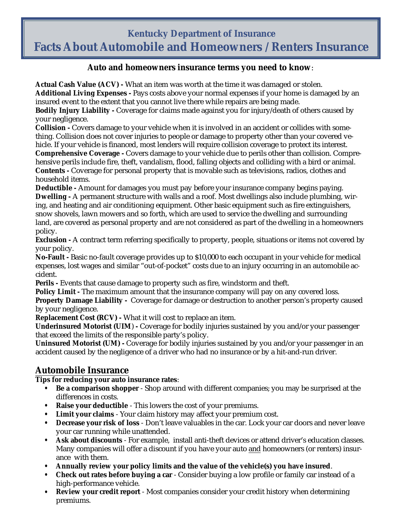# **Kentucky Department of Insurance Facts About Automobile and Homeowners / Renters Insurance**

#### **Auto and homeowners insurance terms you need to know**:

**Actual Cash Value (ACV) -** What an item was worth at the time it was damaged or stolen. **Additional Living Expenses -** Pays costs above your normal expenses if your home is damaged by an insured event to the extent that you cannot live there while repairs are being made.

**Bodily Injury Liability -** Coverage for claims made against you for injury/death of others caused by your negligence.

**Collision -** Covers damage to your vehicle when it is involved in an accident or collides with something. Collision does not cover injuries to people or damage to property other than your covered vehicle. If your vehicle is financed, most lenders will require collision coverage to protect its interest. **Comprehensive Coverage -** Covers damage to your vehicle due to perils other than collision. Comprehensive perils include fire, theft, vandalism, flood, falling objects and colliding with a bird or animal. **Contents -** Coverage for personal property that is movable such as televisions, radios, clothes and household items.

**Deductible -** Amount for damages you must pay before your insurance company begins paying. **Dwelling -** A permanent structure with walls and a roof. Most dwellings also include plumbing, wiring, and heating and air conditioning equipment. Other basic equipment such as fire extinguishers, snow shovels, lawn mowers and so forth, which are used to service the dwelling and surrounding land, are covered as personal property and are not considered as part of the dwelling in a homeowners policy.

**Exclusion -** A contract term referring specifically to property, people, situations or items not covered by your policy.

**No-Fault -** Basic no-fault coverage provides up to \$10,000 to each occupant in your vehicle for medical expenses, lost wages and similar "out-of-pocket" costs due to an injury occurring in an automobile accident.

**Perils -** Events that cause damage to property such as fire, windstorm and theft.

**Policy Limit -** The maximum amount that the insurance company will pay on any covered loss.

**Property Damage Liability -** Coverage for damage or destruction to another person's property caused by your negligence.

**Replacement Cost (RCV) -** What it will cost to replace an item.

**Underinsured Motorist (UIM**) **-** Coverage for bodily injuries sustained by you and/or your passenger that exceed the limits of the responsible party's policy.

**Uninsured Motorist (UM) -** Coverage for bodily injuries sustained by you and/or your passenger in an accident caused by the negligence of a driver who had no insurance or by a hit-and-run driver.

## **Automobile Insurance**

**Tips for reducing your auto insurance rates**:

- **• Be a comparison shopper** - Shop around with different companies; you may be surprised at the differences in costs.
- **• Raise your deductible**  This lowers the cost of your premiums.
- **• Limit your claims** - Your claim history may affect your premium cost.
- **• Decrease your risk of loss** - Don't leave valuables in the car. Lock your car doors and never leave your car running while unattended.
- **• Ask about discounts** For example, install anti-theft devices or attend driver's education classes. Many companies will offer a discount if you have your auto and homeowners (or renters) insurance with them.
- **• Annually review your policy limits and the value of the vehicle(s) you have insured**.
- **• Check out rates before buying a car** - Consider buying a low profile or family car instead of a high-performance vehicle.
- **• Review your credit report** - Most companies consider your credit history when determining premiums.